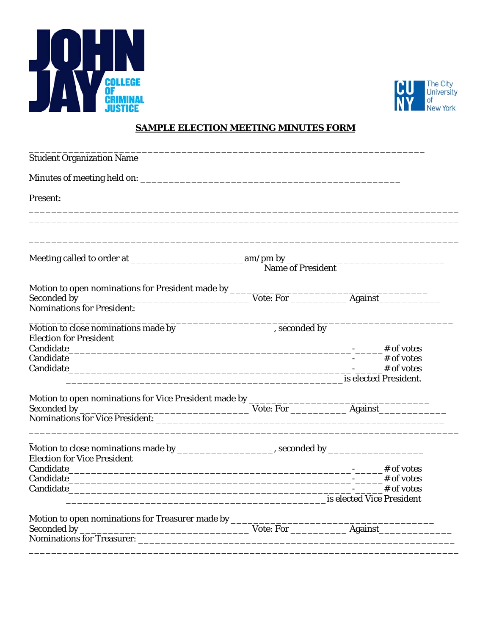



## **SAMPLE ELECTION MEETING MINUTES FORM**

| <b>Student Organization Name</b>                                                                                                                                                                                                                                                                                                                                                                                                                                                                                                                                                                                                               |                                                                                                      |  |
|------------------------------------------------------------------------------------------------------------------------------------------------------------------------------------------------------------------------------------------------------------------------------------------------------------------------------------------------------------------------------------------------------------------------------------------------------------------------------------------------------------------------------------------------------------------------------------------------------------------------------------------------|------------------------------------------------------------------------------------------------------|--|
|                                                                                                                                                                                                                                                                                                                                                                                                                                                                                                                                                                                                                                                |                                                                                                      |  |
| Present:                                                                                                                                                                                                                                                                                                                                                                                                                                                                                                                                                                                                                                       |                                                                                                      |  |
|                                                                                                                                                                                                                                                                                                                                                                                                                                                                                                                                                                                                                                                |                                                                                                      |  |
|                                                                                                                                                                                                                                                                                                                                                                                                                                                                                                                                                                                                                                                |                                                                                                      |  |
| $\begin{tabular}{l} Meeting called to order at \underline{\hspace{2cm}} \underline{\hspace{2cm}} \underline{\hspace{2cm}} \underline{\hspace{2cm}} \underline{\hspace{2cm}} \underline{\hspace{2cm}} \underline{\hspace{2cm}} \underline{\hspace{2cm}} \underline{\hspace{2cm}} \underline{\hspace{2cm}} \underline{\hspace{2cm}} \underline{\hspace{2cm}} \underline{\hspace{2cm}} \underline{\hspace{2cm}} \underline{\hspace{2cm}} \underline{\hspace{2cm}} \underline{\hspace{2cm}} \underline{\hspace{2cm}} \underline{\hspace{2cm}} \underline{\hspace{2cm}} \underline{\hspace{2cm}} \underline{\hspace{2cm}} \underline{\hspace{2cm}}$ |                                                                                                      |  |
|                                                                                                                                                                                                                                                                                                                                                                                                                                                                                                                                                                                                                                                |                                                                                                      |  |
|                                                                                                                                                                                                                                                                                                                                                                                                                                                                                                                                                                                                                                                |                                                                                                      |  |
|                                                                                                                                                                                                                                                                                                                                                                                                                                                                                                                                                                                                                                                |                                                                                                      |  |
|                                                                                                                                                                                                                                                                                                                                                                                                                                                                                                                                                                                                                                                |                                                                                                      |  |
| <b>Election for President</b>                                                                                                                                                                                                                                                                                                                                                                                                                                                                                                                                                                                                                  |                                                                                                      |  |
|                                                                                                                                                                                                                                                                                                                                                                                                                                                                                                                                                                                                                                                |                                                                                                      |  |
|                                                                                                                                                                                                                                                                                                                                                                                                                                                                                                                                                                                                                                                |                                                                                                      |  |
|                                                                                                                                                                                                                                                                                                                                                                                                                                                                                                                                                                                                                                                |                                                                                                      |  |
|                                                                                                                                                                                                                                                                                                                                                                                                                                                                                                                                                                                                                                                |                                                                                                      |  |
|                                                                                                                                                                                                                                                                                                                                                                                                                                                                                                                                                                                                                                                |                                                                                                      |  |
|                                                                                                                                                                                                                                                                                                                                                                                                                                                                                                                                                                                                                                                |                                                                                                      |  |
|                                                                                                                                                                                                                                                                                                                                                                                                                                                                                                                                                                                                                                                |                                                                                                      |  |
|                                                                                                                                                                                                                                                                                                                                                                                                                                                                                                                                                                                                                                                | Motion to close nominations made by ________________________, seconded by __________________________ |  |
| <b>Election for Vice President</b>                                                                                                                                                                                                                                                                                                                                                                                                                                                                                                                                                                                                             |                                                                                                      |  |
|                                                                                                                                                                                                                                                                                                                                                                                                                                                                                                                                                                                                                                                |                                                                                                      |  |
|                                                                                                                                                                                                                                                                                                                                                                                                                                                                                                                                                                                                                                                |                                                                                                      |  |
|                                                                                                                                                                                                                                                                                                                                                                                                                                                                                                                                                                                                                                                |                                                                                                      |  |
|                                                                                                                                                                                                                                                                                                                                                                                                                                                                                                                                                                                                                                                |                                                                                                      |  |
|                                                                                                                                                                                                                                                                                                                                                                                                                                                                                                                                                                                                                                                |                                                                                                      |  |
|                                                                                                                                                                                                                                                                                                                                                                                                                                                                                                                                                                                                                                                |                                                                                                      |  |
|                                                                                                                                                                                                                                                                                                                                                                                                                                                                                                                                                                                                                                                |                                                                                                      |  |